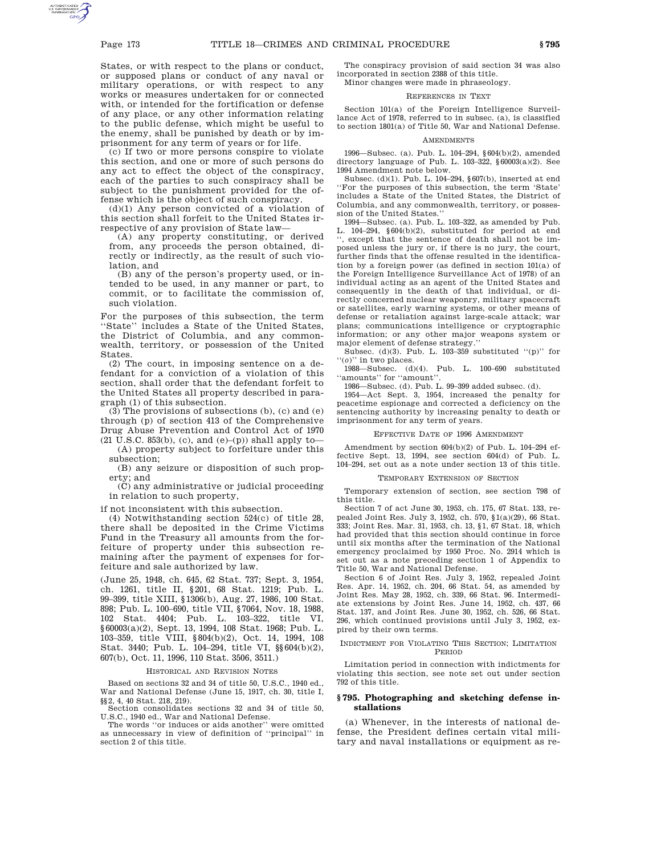States, or with respect to the plans or conduct, or supposed plans or conduct of any naval or military operations, or with respect to any works or measures undertaken for or connected with, or intended for the fortification or defense of any place, or any other information relating to the public defense, which might be useful to the enemy, shall be punished by death or by imprisonment for any term of years or for life.

(c) If two or more persons conspire to violate this section, and one or more of such persons do any act to effect the object of the conspiracy, each of the parties to such conspiracy shall be subject to the punishment provided for the offense which is the object of such conspiracy.

(d)(1) Any person convicted of a violation of this section shall forfeit to the United States irrespective of any provision of State law—

(A) any property constituting, or derived from, any proceeds the person obtained, directly or indirectly, as the result of such violation, and

(B) any of the person's property used, or intended to be used, in any manner or part, to commit, or to facilitate the commission of, such violation.

For the purposes of this subsection, the term "State" includes a State of the United States, the District of Columbia, and any commonwealth, territory, or possession of the United States.

(2) The court, in imposing sentence on a defendant for a conviction of a violation of this section, shall order that the defendant forfeit to the United States all property described in paragraph (1) of this subsection.

(3) The provisions of subsections (b), (c) and (e) through (p) of section 413 of the Comprehensive Drug Abuse Prevention and Control Act of 1970

 $(21 \text{ U.S.C. } 853(b), (c), \text{ and } (e)$ – $(p)$ ) shall apply to– (A) property subject to forfeiture under this subsection;

(B) any seizure or disposition of such property; and

(C) any administrative or judicial proceeding in relation to such property,

if not inconsistent with this subsection.

(4) Notwithstanding section 524(c) of title 28, there shall be deposited in the Crime Victims Fund in the Treasury all amounts from the forfeiture of property under this subsection remaining after the payment of expenses for forfeiture and sale authorized by law.

(June 25, 1948, ch. 645, 62 Stat. 737; Sept. 3, 1954, ch. 1261, title II, §201, 68 Stat. 1219; Pub. L. 99–399, title XIII, §1306(b), Aug. 27, 1986, 100 Stat. 898; Pub. L. 100–690, title VII, §7064, Nov. 18, 1988, 102 Stat. 4404; Pub. L. 103–322, title VI, §60003(a)(2), Sept. 13, 1994, 108 Stat. 1968; Pub. L. 103–359, title VIII, §804(b)(2), Oct. 14, 1994, 108 Stat. 3440; Pub. L. 104–294, title VI, §§604(b)(2), 607(b), Oct. 11, 1996, 110 Stat. 3506, 3511.)

# HISTORICAL AND REVISION NOTES

Based on sections 32 and 34 of title 50, U.S.C., 1940 ed., War and National Defense (June 15, 1917, ch. 30, title I, §§2, 4, 40 Stat. 218, 219).

Section consolidates sections 32 and 34 of title 50, U.S.C., 1940 ed., War and National Defense.

The words ''or induces or aids another'' were omitted as unnecessary in view of definition of ''principal'' in section 2 of this title.

The conspiracy provision of said section 34 was also incorporated in section 2388 of this title. Minor changes were made in phraseology.

# REFERENCES IN TEXT

Section 101(a) of the Foreign Intelligence Surveillance Act of 1978, referred to in subsec. (a), is classified to section 1801(a) of Title 50, War and National Defense.

# **AMENDMENTS**

1996—Subsec. (a). Pub. L. 104–294, §604(b)(2), amended directory language of Pub. L. 103–322, §60003(a)(2). See 1994 Amendment note below.

Subsec. (d)(1). Pub. L. 104–294, §607(b), inserted at end ''For the purposes of this subsection, the term 'State' includes a State of the United States, the District of Columbia, and any commonwealth, territory, or possession of the United States.''

1994—Subsec. (a). Pub. L. 103–322, as amended by Pub. L. 104–294, §604(b)(2), substituted for period at end '', except that the sentence of death shall not be imposed unless the jury or, if there is no jury, the court, further finds that the offense resulted in the identification by a foreign power (as defined in section 101(a) of the Foreign Intelligence Surveillance Act of 1978) of an individual acting as an agent of the United States and consequently in the death of that individual, or directly concerned nuclear weaponry, military spacecraft or satellites, early warning systems, or other means of defense or retaliation against large-scale attack; war plans; communications intelligence or cryptographic information; or any other major weapons system or major element of defense strategy.''

Subsec. (d)(3). Pub. L. 103-359 substituted  $"({\rm p})"$  for ''(*o*)'' in two places.

1988—Subsec. (d)(4). Pub. L. 100–690 substituted ''amounts'' for ''amount''.

1986—Subsec. (d). Pub. L. 99–399 added subsec. (d).

1954—Act Sept. 3, 1954, increased the penalty for peacetime espionage and corrected a deficiency on the sentencing authority by increasing penalty to death or imprisonment for any term of years.

## EFFECTIVE DATE OF 1996 AMENDMENT

Amendment by section 604(b)(2) of Pub. L. 104–294 effective Sept. 13, 1994, see section 604(d) of Pub. L. 104–294, set out as a note under section 13 of this title.

#### TEMPORARY EXTENSION OF SECTION

Temporary extension of section, see section 798 of this title.

Section 7 of act June 30, 1953, ch. 175, 67 Stat. 133, repealed Joint Res. July 3, 1952, ch. 570, §1(a)(29), 66 Stat. 333; Joint Res. Mar. 31, 1953, ch. 13, §1, 67 Stat. 18, which had provided that this section should continue in force until six months after the termination of the National emergency proclaimed by 1950 Proc. No. 2914 which is set out as a note preceding section 1 of Appendix to Title 50, War and National Defense.

Section 6 of Joint Res. July 3, 1952, repealed Joint Res. Apr. 14, 1952, ch. 204, 66 Stat. 54, as amended by Joint Res. May 28, 1952, ch. 339, 66 Stat. 96. Intermediate extensions by Joint Res. June 14, 1952, ch. 437, 66 Stat. 137, and Joint Res. June 30, 1952, ch. 526, 66 Stat. 296, which continued provisions until July 3, 1952, expired by their own terms.

### INDICTMENT FOR VIOLATING THIS SECTION; LIMITATION PERIOD

Limitation period in connection with indictments for violating this section, see note set out under section 792 of this title.

## **§ 795. Photographing and sketching defense installations**

(a) Whenever, in the interests of national defense, the President defines certain vital military and naval installations or equipment as re-